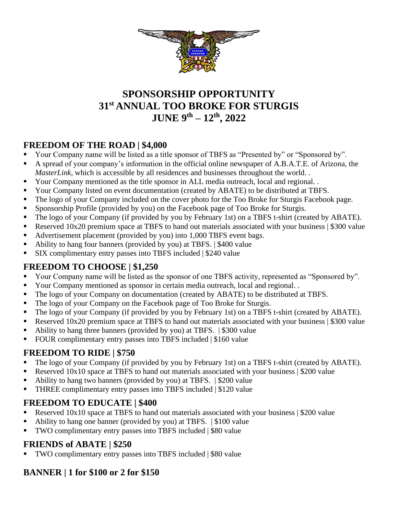

## **SPONSORSHIP OPPORTUNITY 31 st ANNUAL TOO BROKE FOR STURGIS JUNE 9 th – 12 th, 2022**

#### **FREEDOM OF THE ROAD | \$4,000**

- Your Company name will be listed as a title sponsor of TBFS as "Presented by" or "Sponsored by".
- A spread of your company's information in the official online newspaper of A.B.A.T.E. of Arizona, the *MasterLink*, which is accessible by all residences and businesses throughout the world. .
- Your Company mentioned as the title sponsor in ALL media outreach, local and regional. .
- Your Company listed on event documentation (created by ABATE) to be distributed at TBFS.
- The logo of your Company included on the cover photo for the Too Broke for Sturgis Facebook page.
- **Exercise 1** Sponsorship Profile (provided by you) on the Facebook page of Too Broke for Sturgis.
- The logo of your Company (if provided by you by February 1st) on a TBFS t-shirt (created by ABATE).
- Reserved 10x20 premium space at TBFS to hand out materials associated with your business | \$300 value
- Advertisement placement (provided by you) into 1,000 TBFS event bags.
- Ability to hang four banners (provided by you) at TBFS. | \$400 value
- SIX complimentary entry passes into TBFS included | \$240 value

#### **FREEDOM TO CHOOSE | \$1,250**

- Your Company name will be listed as the sponsor of one TBFS activity, represented as "Sponsored by".
- Your Company mentioned as sponsor in certain media outreach, local and regional.
- The logo of your Company on documentation (created by ABATE) to be distributed at TBFS.
- The logo of your Company on the Facebook page of Too Broke for Sturgis.
- The logo of your Company (if provided by you by February 1st) on a TBFS t-shirt (created by ABATE).
- Reserved 10x20 premium space at TBFS to hand out materials associated with your business | \$300 value
- Ability to hang three banners (provided by you) at TBFS. | \$300 value
- FOUR complimentary entry passes into TBFS included | \$160 value

## **FREEDOM TO RIDE | \$750**

- The logo of your Company (if provided by you by February 1st) on a TBFS t-shirt (created by ABATE).
- Reserved 10x10 space at TBFS to hand out materials associated with your business | \$200 value
- Ability to hang two banners (provided by you) at TBFS. | \$200 value
- THREE complimentary entry passes into TBFS included | \$120 value

#### **FREEDOM TO EDUCATE | \$400**

- Reserved 10x10 space at TBFS to hand out materials associated with your business | \$200 value
- Ability to hang one banner (provided by you) at TBFS. | \$100 value
- TWO complimentary entry passes into TBFS included | \$80 value

#### **FRIENDS of ABATE | \$250**

TWO complimentary entry passes into TBFS included | \$80 value

## **BANNER | 1 for \$100 or 2 for \$150**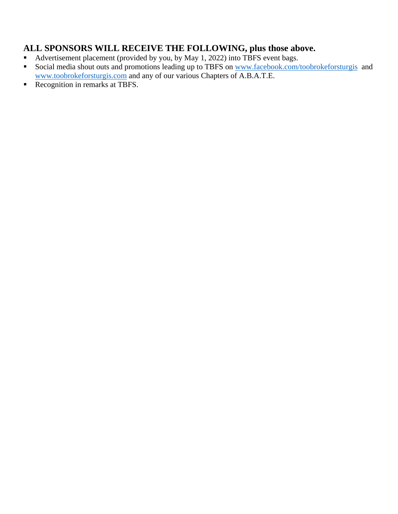#### **ALL SPONSORS WILL RECEIVE THE FOLLOWING, plus those above.**

- Advertisement placement (provided by you, by May 1, 2022) into TBFS event bags.
- Social media shout outs and promotions leading up to TBFS on [www.facebook.com/toobrokeforsturgis](http://www.facebook.com/toobrokeforsturgis) and [www.toobrokeforsturgis.com](http://www.toobrokeforsturgis.com/) and any of our various Chapters of A.B.A.T.E.
- Recognition in remarks at TBFS.